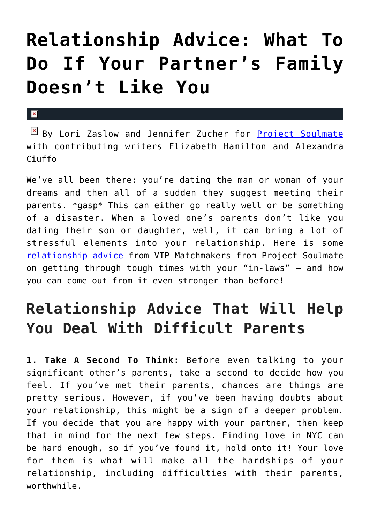## **[Relationship Advice: What To](https://cupidspulse.com/118554/relationship-advice-partners-family-dislikes-you/) [Do If Your Partner's Family](https://cupidspulse.com/118554/relationship-advice-partners-family-dislikes-you/) [Doesn't Like You](https://cupidspulse.com/118554/relationship-advice-partners-family-dislikes-you/)**

## $\pmb{\times}$

By Lori Zaslow and Jennifer Zucher for **[Project Soulmate](http://www.projectsoulmate.com/)** with contributing writers Elizabeth Hamilton and Alexandra Ciuffo

We've all been there: you're dating the man or woman of your dreams and then all of a sudden they suggest meeting their parents. \*gasp\* This can either go really well or be something of a disaster. When a loved one's parents don't like you dating their son or daughter, well, it can bring a lot of stressful elements into your relationship. Here is some [relationship advice](http://cupidspulse.com/relationship-experts/) from VIP Matchmakers from Project Soulmate on getting through tough times with your "in-laws" – and how you can come out from it even stronger than before!

## **Relationship Advice That Will Help You Deal With Difficult Parents**

**1. Take A Second To Think:** Before even talking to your significant other's parents, take a second to decide how you feel. If you've met their parents, chances are things are pretty serious. However, if you've been having doubts about your relationship, this might be a sign of a deeper problem. If you decide that you are happy with your partner, then keep that in mind for the next few steps. Finding love in NYC can be hard enough, so if you've found it, hold onto it! Your love for them is what will make all the hardships of your relationship, including difficulties with their parents, worthwhile.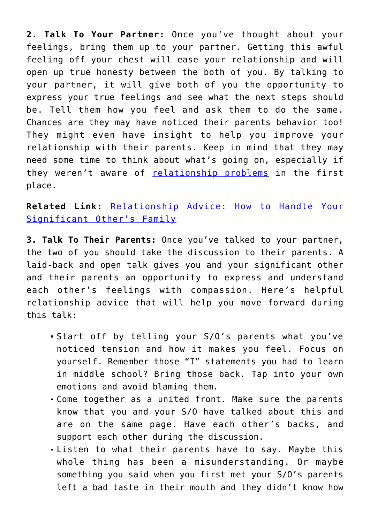**2. Talk To Your Partner:** Once you've thought about your feelings, bring them up to your partner. Getting this awful feeling off your chest will ease your relationship and will open up true honesty between the both of you. By talking to your partner, it will give both of you the opportunity to express your true feelings and see what the next steps should be. Tell them how you feel and ask them to do the same. Chances are they may have noticed their parents behavior too! They might even have insight to help you improve your relationship with their parents. Keep in mind that they may need some time to think about what's going on, especially if they weren't aware of [relationship problems](http://cupidspulse.com/relationship-experts/) in the first place.

**Related Link:** [Relationship Advice: How to Handle Your](http://cupidspulse.com/117332/relationship-advice-handle-significant-others-family/) [Significant Other's Family](http://cupidspulse.com/117332/relationship-advice-handle-significant-others-family/)

**3. Talk To Their Parents:** Once you've talked to your partner, the two of you should take the discussion to their parents. A laid-back and open talk gives you and your significant other and their parents an opportunity to express and understand each other's feelings with compassion. Here's helpful relationship advice that will help you move forward during this talk:

- Start off by telling your S/O's parents what you've noticed tension and how it makes you feel. Focus on yourself. Remember those "I" statements you had to learn in middle school? Bring those back. Tap into your own emotions and avoid blaming them.
- Come together as a united front. Make sure the parents know that you and your S/O have talked about this and are on the same page. Have each other's backs, and support each other during the discussion.
- Listen to what their parents have to say. Maybe this whole thing has been a misunderstanding. Or maybe something you said when you first met your S/O's parents left a bad taste in their mouth and they didn't know how